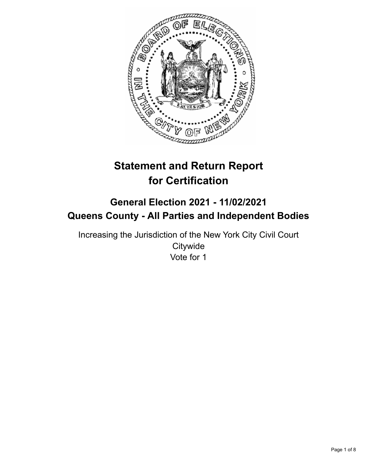

# **Statement and Return Report for Certification**

## **General Election 2021 - 11/02/2021 Queens County - All Parties and Independent Bodies**

Increasing the Jurisdiction of the New York City Civil Court **Citywide** Vote for 1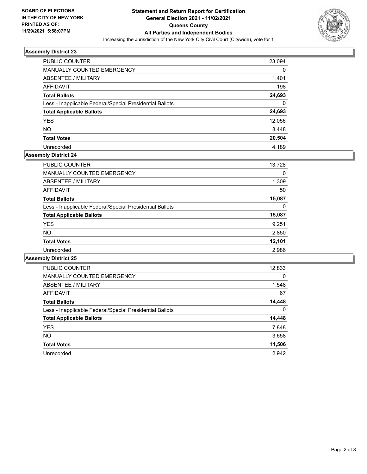

| PUBLIC COUNTER                                           | 23,094 |
|----------------------------------------------------------|--------|
| <b>MANUALLY COUNTED EMERGENCY</b>                        | 0      |
| ABSENTEE / MILITARY                                      | 1,401  |
| AFFIDAVIT                                                | 198    |
| <b>Total Ballots</b>                                     | 24,693 |
| Less - Inapplicable Federal/Special Presidential Ballots | 0      |
| <b>Total Applicable Ballots</b>                          | 24,693 |
| <b>YES</b>                                               | 12,056 |
| <b>NO</b>                                                | 8,448  |
| <b>Total Votes</b>                                       | 20,504 |
| Unrecorded                                               | 4.189  |

## **Assembly District 24**

| PUBLIC COUNTER                                           | 13,728 |
|----------------------------------------------------------|--------|
| <b>MANUALLY COUNTED EMERGENCY</b>                        | 0      |
| ABSENTEE / MILITARY                                      | 1,309  |
| AFFIDAVIT                                                | 50     |
| <b>Total Ballots</b>                                     | 15,087 |
| Less - Inapplicable Federal/Special Presidential Ballots | 0      |
| <b>Total Applicable Ballots</b>                          | 15,087 |
| <b>YES</b>                                               | 9,251  |
| <b>NO</b>                                                | 2,850  |
| <b>Total Votes</b>                                       | 12,101 |
| Unrecorded                                               | 2,986  |

| <b>PUBLIC COUNTER</b>                                    | 12,833   |
|----------------------------------------------------------|----------|
| <b>MANUALLY COUNTED EMERGENCY</b>                        | $\Omega$ |
| ABSENTEE / MILITARY                                      | 1,548    |
| <b>AFFIDAVIT</b>                                         | 67       |
| <b>Total Ballots</b>                                     | 14,448   |
| Less - Inapplicable Federal/Special Presidential Ballots | $\Omega$ |
| <b>Total Applicable Ballots</b>                          | 14,448   |
| <b>YES</b>                                               | 7,848    |
| NO.                                                      | 3,658    |
| <b>Total Votes</b>                                       | 11,506   |
| Unrecorded                                               | 2,942    |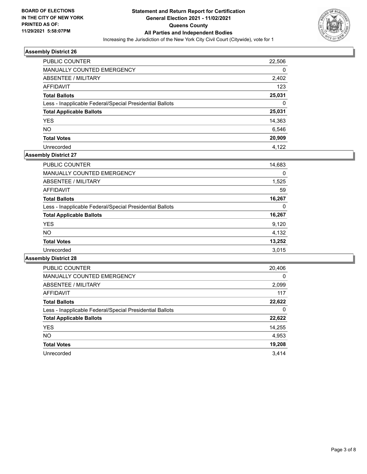

| PUBLIC COUNTER                                           | 22,506 |
|----------------------------------------------------------|--------|
| <b>MANUALLY COUNTED EMERGENCY</b>                        | 0      |
| ABSENTEE / MILITARY                                      | 2,402  |
| AFFIDAVIT                                                | 123    |
| <b>Total Ballots</b>                                     | 25,031 |
| Less - Inapplicable Federal/Special Presidential Ballots | 0      |
| <b>Total Applicable Ballots</b>                          | 25,031 |
| <b>YES</b>                                               | 14,363 |
| <b>NO</b>                                                | 6,546  |
| <b>Total Votes</b>                                       | 20,909 |
| Unrecorded                                               | 4.122  |

## **Assembly District 27**

| PUBLIC COUNTER                                           | 14,683 |
|----------------------------------------------------------|--------|
| <b>MANUALLY COUNTED EMERGENCY</b>                        | 0      |
| ABSENTEE / MILITARY                                      | 1,525  |
| AFFIDAVIT                                                | 59     |
| <b>Total Ballots</b>                                     | 16,267 |
| Less - Inapplicable Federal/Special Presidential Ballots | 0      |
| <b>Total Applicable Ballots</b>                          | 16,267 |
| <b>YES</b>                                               | 9,120  |
| <b>NO</b>                                                | 4,132  |
| <b>Total Votes</b>                                       | 13,252 |
| Unrecorded                                               | 3.015  |

| <b>PUBLIC COUNTER</b>                                    | 20,406   |
|----------------------------------------------------------|----------|
| <b>MANUALLY COUNTED EMERGENCY</b>                        | $\Omega$ |
| ABSENTEE / MILITARY                                      | 2,099    |
| <b>AFFIDAVIT</b>                                         | 117      |
| <b>Total Ballots</b>                                     | 22,622   |
| Less - Inapplicable Federal/Special Presidential Ballots | 0        |
| <b>Total Applicable Ballots</b>                          | 22,622   |
| <b>YES</b>                                               | 14,255   |
| NO.                                                      | 4,953    |
| <b>Total Votes</b>                                       | 19,208   |
| Unrecorded                                               | 3.414    |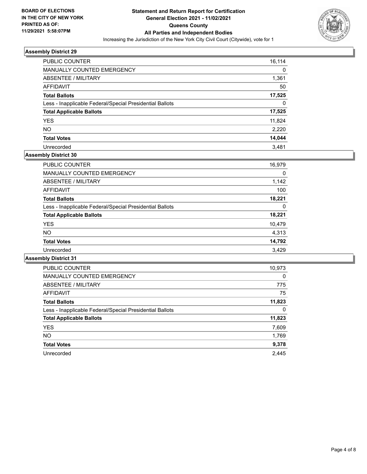

| PUBLIC COUNTER                                           | 16,114 |
|----------------------------------------------------------|--------|
| <b>MANUALLY COUNTED EMERGENCY</b>                        | 0      |
| ABSENTEE / MILITARY                                      | 1,361  |
| AFFIDAVIT                                                | 50     |
| <b>Total Ballots</b>                                     | 17,525 |
| Less - Inapplicable Federal/Special Presidential Ballots | 0      |
| <b>Total Applicable Ballots</b>                          | 17,525 |
| <b>YES</b>                                               | 11,824 |
| <b>NO</b>                                                | 2,220  |
| <b>Total Votes</b>                                       | 14,044 |
| Unrecorded                                               | 3.481  |

## **Assembly District 30**

| PUBLIC COUNTER                                           | 16,979 |
|----------------------------------------------------------|--------|
| <b>MANUALLY COUNTED EMERGENCY</b>                        | 0      |
| ABSENTEE / MILITARY                                      | 1,142  |
| AFFIDAVIT                                                | 100    |
| <b>Total Ballots</b>                                     | 18,221 |
| Less - Inapplicable Federal/Special Presidential Ballots | 0      |
| <b>Total Applicable Ballots</b>                          | 18,221 |
| <b>YES</b>                                               | 10,479 |
| <b>NO</b>                                                | 4,313  |
| <b>Total Votes</b>                                       | 14,792 |
| Unrecorded                                               | 3.429  |

| <b>PUBLIC COUNTER</b>                                    | 10,973   |
|----------------------------------------------------------|----------|
| <b>MANUALLY COUNTED EMERGENCY</b>                        | $\Omega$ |
| ABSENTEE / MILITARY                                      | 775      |
| <b>AFFIDAVIT</b>                                         | 75       |
| <b>Total Ballots</b>                                     | 11,823   |
| Less - Inapplicable Federal/Special Presidential Ballots | 0        |
| <b>Total Applicable Ballots</b>                          | 11,823   |
| <b>YES</b>                                               | 7,609    |
| NO.                                                      | 1,769    |
| <b>Total Votes</b>                                       | 9,378    |
| Unrecorded                                               | 2.445    |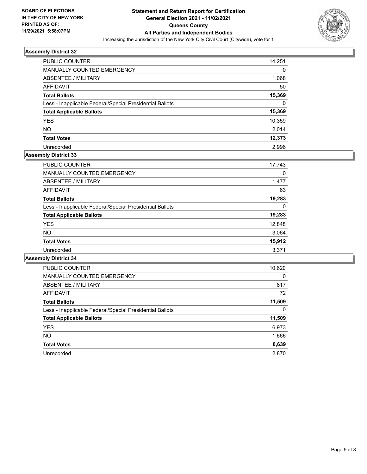

| PUBLIC COUNTER                                           | 14,251 |
|----------------------------------------------------------|--------|
| MANUALLY COUNTED EMERGENCY                               | 0      |
| ABSENTEE / MILITARY                                      | 1,068  |
| AFFIDAVIT                                                | 50     |
| <b>Total Ballots</b>                                     | 15,369 |
| Less - Inapplicable Federal/Special Presidential Ballots | 0      |
| <b>Total Applicable Ballots</b>                          | 15,369 |
| <b>YES</b>                                               | 10,359 |
| <b>NO</b>                                                | 2,014  |
| <b>Total Votes</b>                                       | 12,373 |
| Unrecorded                                               | 2.996  |

## **Assembly District 33**

| 17,743 |
|--------|
| 0      |
| 1,477  |
| 63     |
| 19,283 |
| 0      |
| 19,283 |
| 12,848 |
| 3,064  |
| 15,912 |
| 3,371  |
|        |

| <b>PUBLIC COUNTER</b>                                    | 10,620   |
|----------------------------------------------------------|----------|
| <b>MANUALLY COUNTED EMERGENCY</b>                        | $\Omega$ |
| ABSENTEE / MILITARY                                      | 817      |
| <b>AFFIDAVIT</b>                                         | 72       |
| <b>Total Ballots</b>                                     | 11,509   |
| Less - Inapplicable Federal/Special Presidential Ballots | 0        |
| <b>Total Applicable Ballots</b>                          | 11,509   |
| <b>YES</b>                                               | 6,973    |
| <b>NO</b>                                                | 1,666    |
| <b>Total Votes</b>                                       | 8,639    |
| Unrecorded                                               | 2.870    |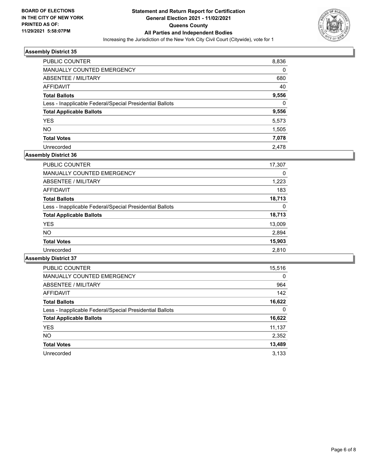

| <b>PUBLIC COUNTER</b>                                    | 8,836    |
|----------------------------------------------------------|----------|
| <b>MANUALLY COUNTED EMERGENCY</b>                        | 0        |
| ABSENTEE / MILITARY                                      | 680      |
| AFFIDAVIT                                                | 40       |
| <b>Total Ballots</b>                                     | 9,556    |
| Less - Inapplicable Federal/Special Presidential Ballots | $\Omega$ |
| <b>Total Applicable Ballots</b>                          | 9,556    |
| <b>YES</b>                                               | 5,573    |
| <b>NO</b>                                                | 1,505    |
| <b>Total Votes</b>                                       | 7,078    |
| Unrecorded                                               | 2.478    |

#### **Assembly District 36**

| PUBLIC COUNTER                                           | 17,307 |
|----------------------------------------------------------|--------|
| <b>MANUALLY COUNTED EMERGENCY</b>                        | 0      |
| ABSENTEE / MILITARY                                      | 1,223  |
| AFFIDAVIT                                                | 183    |
| <b>Total Ballots</b>                                     | 18,713 |
| Less - Inapplicable Federal/Special Presidential Ballots | 0      |
| <b>Total Applicable Ballots</b>                          | 18,713 |
| <b>YES</b>                                               | 13,009 |
| <b>NO</b>                                                | 2,894  |
| <b>Total Votes</b>                                       | 15,903 |
| Unrecorded                                               | 2.810  |

| <b>PUBLIC COUNTER</b>                                    | 15,516   |
|----------------------------------------------------------|----------|
| <b>MANUALLY COUNTED EMERGENCY</b>                        | $\Omega$ |
| ABSENTEE / MILITARY                                      | 964      |
| <b>AFFIDAVIT</b>                                         | 142      |
| <b>Total Ballots</b>                                     | 16,622   |
| Less - Inapplicable Federal/Special Presidential Ballots | 0        |
| <b>Total Applicable Ballots</b>                          | 16,622   |
| <b>YES</b>                                               | 11,137   |
| <b>NO</b>                                                | 2,352    |
| <b>Total Votes</b>                                       | 13,489   |
| Unrecorded                                               | 3.133    |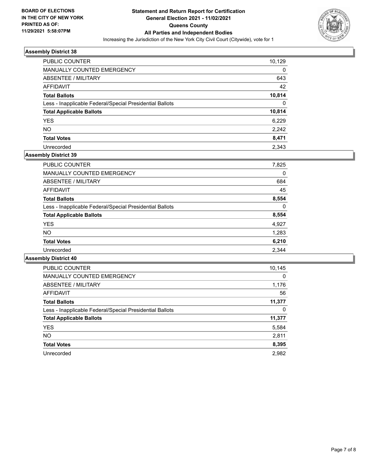

| <b>PUBLIC COUNTER</b>                                    | 10,129   |
|----------------------------------------------------------|----------|
| <b>MANUALLY COUNTED EMERGENCY</b>                        | 0        |
| ABSENTEE / MILITARY                                      | 643      |
| AFFIDAVIT                                                | 42       |
| <b>Total Ballots</b>                                     | 10,814   |
| Less - Inapplicable Federal/Special Presidential Ballots | $\Omega$ |
| <b>Total Applicable Ballots</b>                          | 10,814   |
| <b>YES</b>                                               | 6.229    |
| <b>NO</b>                                                | 2,242    |
| <b>Total Votes</b>                                       | 8,471    |
| Unrecorded                                               | 2.343    |

## **Assembly District 39**

| 7,825 |
|-------|
| 0     |
| 684   |
| 45    |
| 8,554 |
| 0     |
| 8,554 |
| 4,927 |
| 1,283 |
| 6,210 |
| 2.344 |
|       |

| <b>PUBLIC COUNTER</b>                                    | 10,145   |
|----------------------------------------------------------|----------|
| <b>MANUALLY COUNTED EMERGENCY</b>                        | $\Omega$ |
| ABSENTEE / MILITARY                                      | 1,176    |
| <b>AFFIDAVIT</b>                                         | 56       |
| <b>Total Ballots</b>                                     | 11,377   |
| Less - Inapplicable Federal/Special Presidential Ballots | 0        |
| <b>Total Applicable Ballots</b>                          | 11,377   |
| <b>YES</b>                                               | 5,584    |
| <b>NO</b>                                                | 2,811    |
| <b>Total Votes</b>                                       | 8,395    |
| Unrecorded                                               | 2,982    |